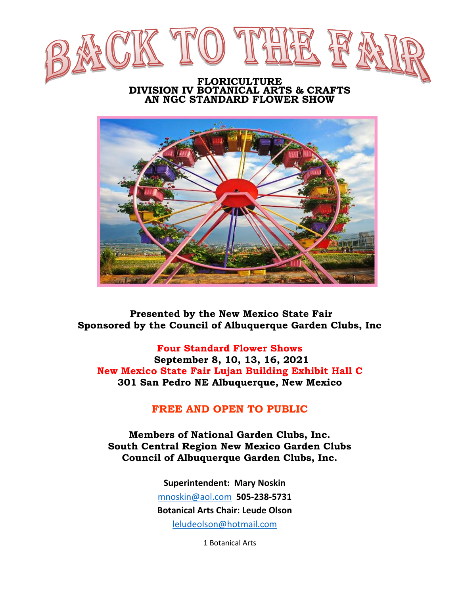

#### **FLORICULTURE DIVISION IV BOTANICAL ARTS & CRAFTS AN NGC STANDARD FLOWER SHOW**



 **Presented by the New Mexico State Fair Sponsored by the Council of Albuquerque Garden Clubs, Inc**

**Four Standard Flower Shows September 8, 10, 13, 16, 2021 New Mexico State Fair Lujan Building Exhibit Hall C 301 San Pedro NE Albuquerque, New Mexico**

#### **FREE AND OPEN TO PUBLIC**

**Members of National Garden Clubs, Inc. South Central Region New Mexico Garden Clubs Council of Albuquerque Garden Clubs, Inc.**

> **Superintendent: Mary Noskin** [mnoskin@aol.com](mailto:mnoskin@aol.com) **505-238-5731 Botanical Arts Chair: Leude Olson** [leludeolson@hotmail.com](mailto:leludeolson@hotmail.com)

> > 1 Botanical Arts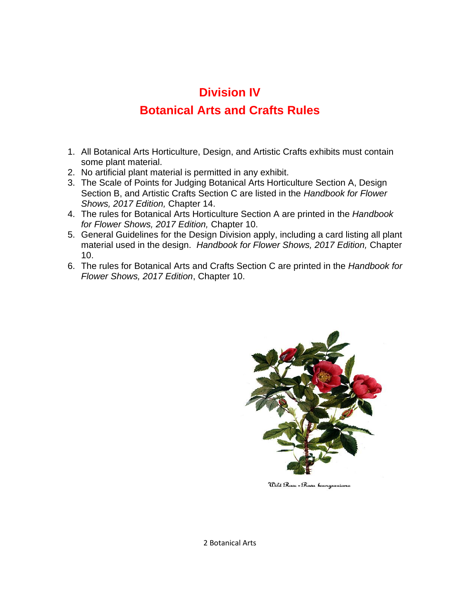#### **Division IV**

#### **Botanical Arts and Crafts Rules**

- 1. All Botanical Arts Horticulture, Design, and Artistic Crafts exhibits must contain some plant material.
- 2. No artificial plant material is permitted in any exhibit.
- 3. The Scale of Points for Judging Botanical Arts Horticulture Section A, Design Section B, and Artistic Crafts Section C are listed in the *Handbook for Flower Shows, 2017 Edition,* Chapter 14.
- 4. The rules for Botanical Arts Horticulture Section A are printed in the *Handbook for Flower Shows, 2017 Edition,* Chapter 10.
- 5. General Guidelines for the Design Division apply, including a card listing all plant material used in the design. *Handbook for Flower Shows, 2017 Edition,* Chapter 10.
- 6. The rules for Botanical Arts and Crafts Section C are printed in the *Handbook for Flower Shows, 2017 Edition*, Chapter 10.



Wild Rase - Rasa baurgeauiana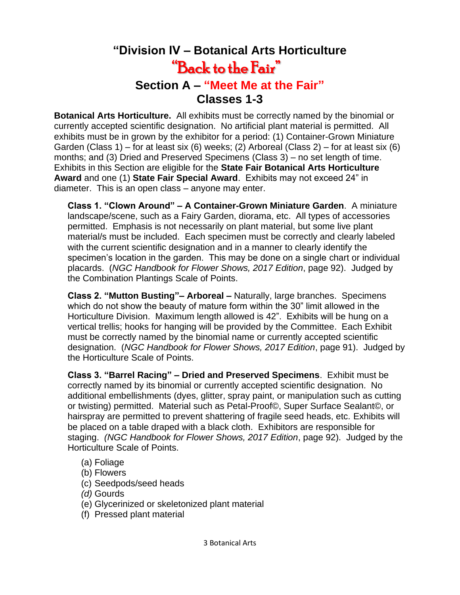## **"Division IV – Botanical Arts Horticulture**  "Back to the Fair" **Section A – "Meet Me at the Fair" Classes 1-3**

**Botanical Arts Horticulture.** All exhibits must be correctly named by the binomial or currently accepted scientific designation. No artificial plant material is permitted. All exhibits must be in grown by the exhibitor for a period: (1) Container-Grown Miniature Garden (Class 1) – for at least six (6) weeks; (2) Arboreal (Class 2) – for at least six (6) months; and (3) Dried and Preserved Specimens (Class 3) – no set length of time. Exhibits in this Section are eligible for the **State Fair Botanical Arts Horticulture Award** and one (1) **State Fair Special Award**. Exhibits may not exceed 24" in diameter. This is an open class – anyone may enter.

**Class 1. "Clown Around" – A Container-Grown Miniature Garden**. A miniature landscape/scene, such as a Fairy Garden, diorama, etc. All types of accessories permitted. Emphasis is not necessarily on plant material, but some live plant material/s must be included. Each specimen must be correctly and clearly labeled with the current scientific designation and in a manner to clearly identify the specimen's location in the garden. This may be done on a single chart or individual placards. (*NGC Handbook for Flower Shows, 2017 Edition*, page 92).Judged by the Combination Plantings Scale of Points.

**Class 2. "Mutton Busting"– Arboreal –** Naturally, large branches. Specimens which do not show the beauty of mature form within the 30" limit allowed in the Horticulture Division. Maximum length allowed is 42". Exhibits will be hung on a vertical trellis; hooks for hanging will be provided by the Committee. Each Exhibit must be correctly named by the binomial name or currently accepted scientific designation. (*NGC Handbook for Flower Shows, 2017 Edition*, page 91). Judged by the Horticulture Scale of Points.

**Class 3. "Barrel Racing" – Dried and Preserved Specimens**. Exhibit must be correctly named by its binomial or currently accepted scientific designation. No additional embellishments (dyes, glitter, spray paint, or manipulation such as cutting or twisting) permitted. Material such as Petal-Proof©, Super Surface Sealant©, or hairspray are permitted to prevent shattering of fragile seed heads, etc*.* Exhibits will be placed on a table draped with a black cloth. Exhibitors are responsible for staging. *(NGC Handbook for Flower Shows, 2017 Edition*, page 92). Judged by the Horticulture Scale of Points.

- (a) Foliage
- (b) Flowers
- (c) Seedpods/seed heads
- *(d)* Gourds
- (e) Glycerinized or skeletonized plant material
- (f) Pressed plant material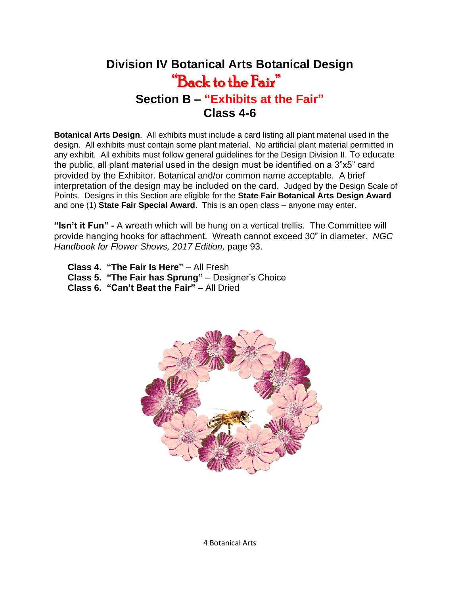## **Division IV Botanical Arts Botanical Design** "Back to the Fair" **Section B – "Exhibits at the Fair" Class 4-6**

**Botanical Arts Design**. All exhibits must include a card listing all plant material used in the design. All exhibits must contain some plant material. No artificial plant material permitted in any exhibit. All exhibits must follow general guidelines for the Design Division II. To educate the public, all plant material used in the design must be identified on a 3"x5" card provided by the Exhibitor. Botanical and/or common name acceptable. A brief interpretation of the design may be included on the card. Judged by the Design Scale of Points. Designs in this Section are eligible for the **State Fair Botanical Arts Design Award**  and one (1) **State Fair Special Award**. This is an open class – anyone may enter.

**"Isn't it Fun" -** A wreath which will be hung on a vertical trellis. The Committee will provide hanging hooks for attachment. Wreath cannot exceed 30" in diameter. *NGC Handbook for Flower Shows, 2017 Edition,* page 93.

**Class 4. "The Fair Is Here"** – All Fresh

- **Class 5. "The Fair has Sprung"** Designer's Choice
- **Class 6. "Can't Beat the Fair"** All Dried